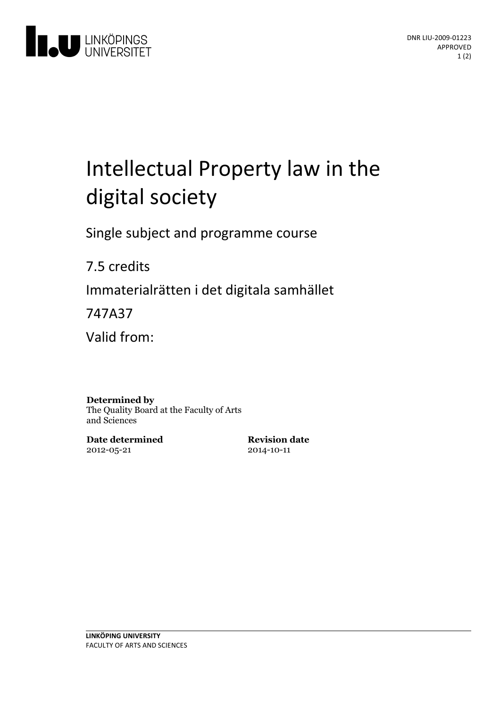

# Intellectual Property law in the digital society

Single subject and programme course

7.5 credits

Immaterialrätten i det digitala samhället

747A37

Valid from:

#### **Determined by**

The Quality Board at the Faculty of Arts and Sciences

**Date determined** 2012-05-21

**Revision date** 2014-10-11